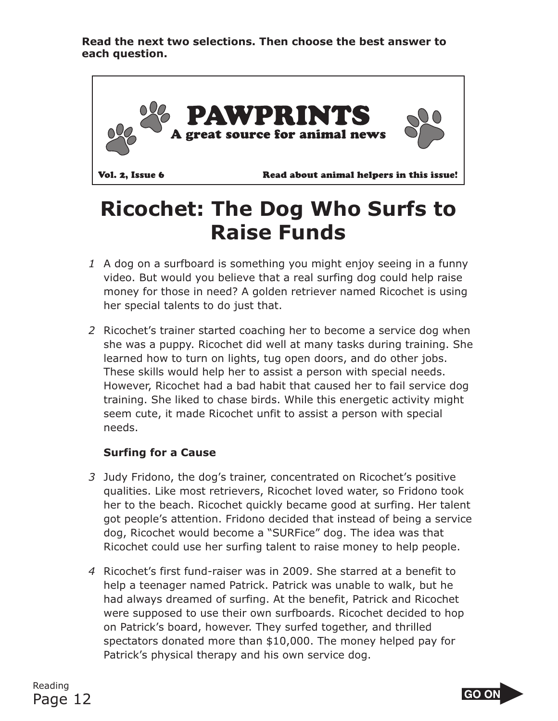**Read the next two selections. Then choose the best answer to each question.**



## **Ricochet: The Dog Who Surfs to Raise Funds**

- *1* A dog on a surfboard is something you might enjoy seeing in a funny video. But would you believe that a real surfing dog could help raise money for those in need? A golden retriever named Ricochet is using her special talents to do just that.
- *2* Ricochet's trainer started coaching her to become a service dog when she was a puppy. Ricochet did well at many tasks during training. She learned how to turn on lights, tug open doors, and do other jobs. These skills would help her to assist a person with special needs. However, Ricochet had a bad habit that caused her to fail service dog training. She liked to chase birds. While this energetic activity might seem cute, it made Ricochet unfit to assist a person with special needs.

#### **Surfing for a Cause**

- *3* Judy Fridono, the dog's trainer, concentrated on Ricochet's positive qualities. Like most retrievers, Ricochet loved water, so Fridono took her to the beach. Ricochet quickly became good at surfing. Her talent got people's attention. Fridono decided that instead of being a service dog, Ricochet would become a "SURFice" dog. The idea was that Ricochet could use her surfing talent to raise money to help people.
- *4* Ricochet's first fund-raiser was in 2009. She starred at a benefit to help a teenager named Patrick. Patrick was unable to walk, but he had always dreamed of surfing. At the benefit, Patrick and Ricochet were supposed to use their own surfboards. Ricochet decided to hop on Patrick's board, however. They surfed together, and thrilled spectators donated more than \$10,000. The money helped pay for Patrick's physical therapy and his own service dog.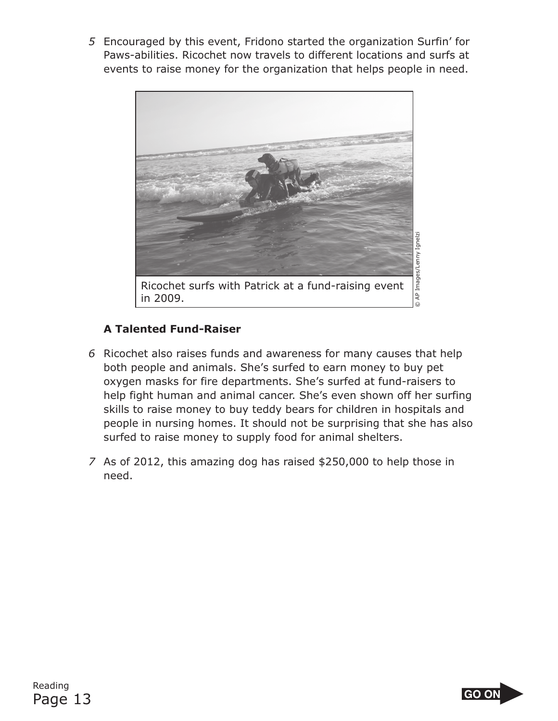*5* Encouraged by this event, Fridono started the organization Surfin' for Paws-abilities. Ricochet now travels to different locations and surfs at events to raise money for the organization that helps people in need.



### **A Talented Fund-Raiser**

- *6* Ricochet also raises funds and awareness for many causes that help both people and animals. She's surfed to earn money to buy pet oxygen masks for fire departments. She's surfed at fund-raisers to help fight human and animal cancer. She's even shown off her surfing skills to raise money to buy teddy bears for children in hospitals and people in nursing homes. It should not be surprising that she has also surfed to raise money to supply food for animal shelters.
- *7* As of 2012, this amazing dog has raised \$250,000 to help those in need.

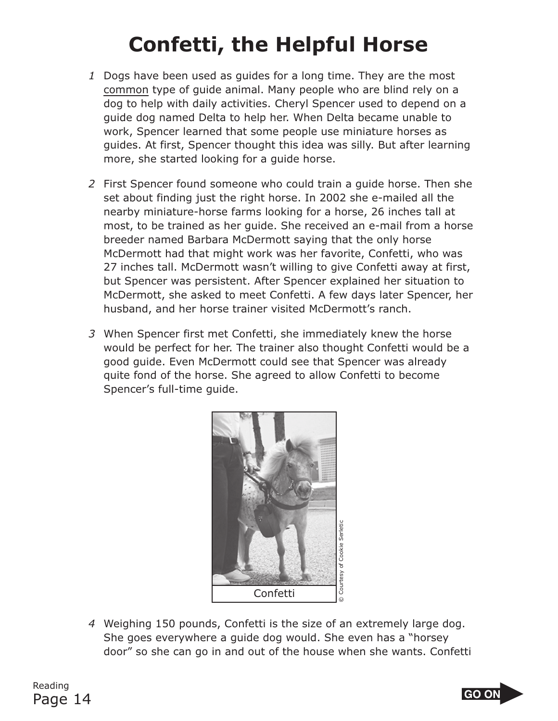# **Confetti, the Helpful Horse**

- *1* Dogs have been used as guides for a long time. They are the most common type of guide animal. Many people who are blind rely on a dog to help with daily activities. Cheryl Spencer used to depend on a guide dog named Delta to help her. When Delta became unable to work, Spencer learned that some people use miniature horses as guides. At first, Spencer thought this idea was silly. But after learning more, she started looking for a guide horse.
- *2* First Spencer found someone who could train a guide horse. Then she set about finding just the right horse. In 2002 she e-mailed all the nearby miniature-horse farms looking for a horse, 26 inches tall at most, to be trained as her guide. She received an e-mail from a horse breeder named Barbara McDermott saying that the only horse McDermott had that might work was her favorite, Confetti, who was 27 inches tall. McDermott wasn't willing to give Confetti away at first, but Spencer was persistent. After Spencer explained her situation to McDermott, she asked to meet Confetti. A few days later Spencer, her husband, and her horse trainer visited McDermott's ranch.
- *3* When Spencer first met Confetti, she immediately knew the horse would be perfect for her. The trainer also thought Confetti would be a good guide. Even McDermott could see that Spencer was already quite fond of the horse. She agreed to allow Confetti to become Spencer's full-time guide.



*4* Weighing 150 pounds, Confetti is the size of an extremely large dog. She goes everywhere a guide dog would. She even has a "horsey door" so she can go in and out of the house when she wants. Confetti

Reading Page 14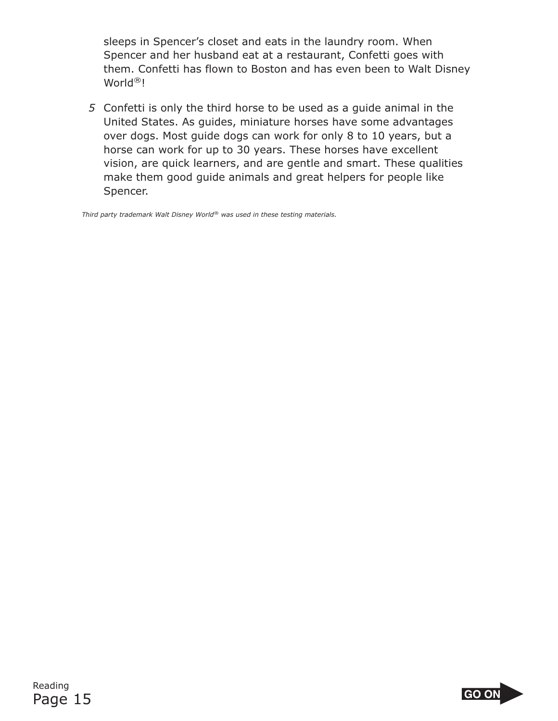sleeps in Spencer's closet and eats in the laundry room. When Spencer and her husband eat at a restaurant, Confetti goes with them. Confetti has flown to Boston and has even been to Walt Disney World®!

*5* Confetti is only the third horse to be used as a guide animal in the United States. As guides, miniature horses have some advantages over dogs. Most guide dogs can work for only 8 to 10 years, but a horse can work for up to 30 years. These horses have excellent vision, are quick learners, and are gentle and smart. These qualities make them good guide animals and great helpers for people like Spencer.

*Third party trademark Walt Disney World*® *was used in these testing materials.* 

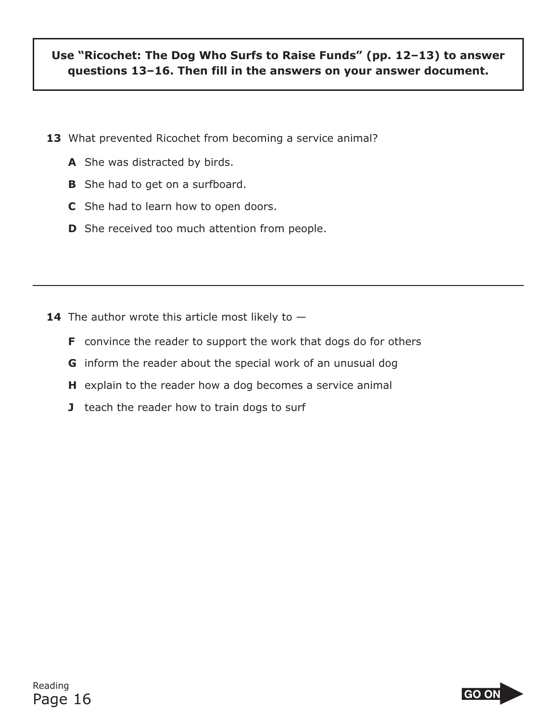### **Use "Ricochet: The Dog Who Surfs to Raise Funds" (pp. 12–13) to answer questions 13–16. Then fill in the answers on your answer document.**

- **13** What prevented Ricochet from becoming a service animal?
	- **A** She was distracted by birds.
	- **B** She had to get on a surfboard.
	- **C** She had to learn how to open doors.
	- **D** She received too much attention from people.

- **14** The author wrote this article most likely to  $-$ 
	- **F** convince the reader to support the work that dogs do for others
	- **G** inform the reader about the special work of an unusual dog
	- **H** explain to the reader how a dog becomes a service animal
	- **J** teach the reader how to train dogs to surf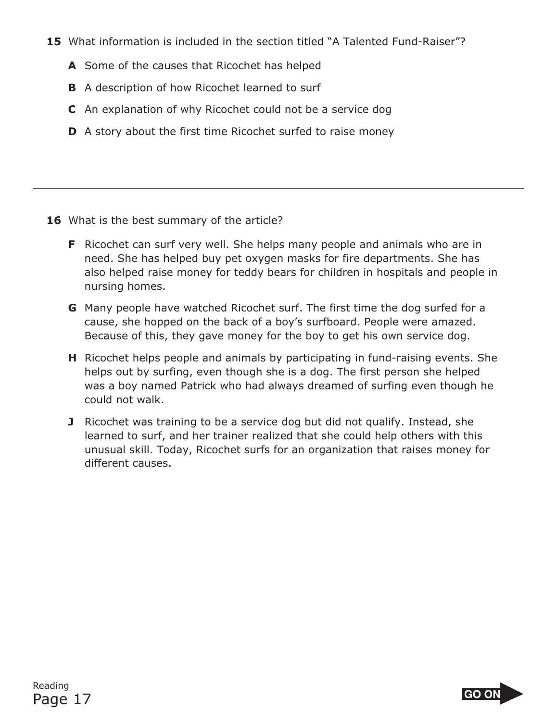- **15** What information is included in the section titled "A Talented Fund-Raiser"?
	- **A** Some of the causes that Ricochet has helped
	- **B** A description of how Ricochet learned to surf
	- **C** An explanation of why Ricochet could not be a service dog
	- **D** A story about the first time Ricochet surfed to raise money

- 16 What is the best summary of the article?
	- **F** Ricochet can surf very well. She helps many people and animals who are in need. She has helped buy pet oxygen masks for fire departments. She has also helped raise money for teddy bears for children in hospitals and people in nursing homes.
	- **G** Many people have watched Ricochet surf. The first time the dog surfed for a cause, she hopped on the back of a boy's surfboard. People were amazed. Because of this, they gave money for the boy to get his own service dog.
	- **H** Ricochet helps people and animals by participating in fund-raising events. She helps out by surfing, even though she is a dog. The first person she helped was a boy named Patrick who had always dreamed of surfing even though he could not walk.
	- **J** Ricochet was training to be a service dog but did not qualify. Instead, she learned to surf, and her trainer realized that she could help others with this unusual skill. Today, Ricochet surfs for an organization that raises money for different causes.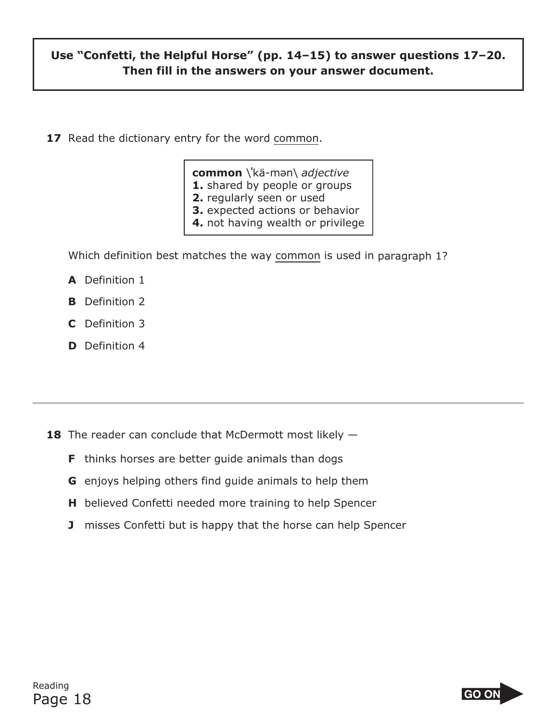### **Use "Confetti, the Helpful Horse" (pp. 14–15) to answer questions 17–20. Then fill in the answers on your answer document.**

**17** Read the dictionary entry for the word common.

**common** \**<sup>ı</sup>** kä-mən\ *adjective* 

**1.** shared by people or groups

- **2.** regularly seen or used
- **3.** expected actions or behavior
- **4.** not having wealth or privilege

Which definition best matches the way common is used in paragraph 1?

- **A** Definition 1
- **B** Definition 2
- **C** Definition 3
- **D** Definition 4

**18** The reader can conclude that McDermott most likely  $-$ 

- **F** thinks horses are better guide animals than dogs
- **G** enjoys helping others find guide animals to help them
- **H** believed Confetti needed more training to help Spencer
- **J** misses Confetti but is happy that the horse can help Spencer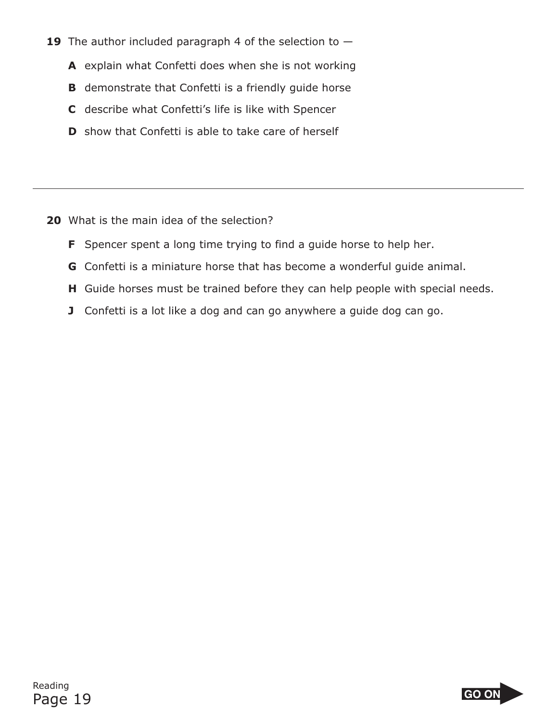- **19** The author included paragraph 4 of the selection to
	- **A** explain what Confetti does when she is not working
	- **B** demonstrate that Confetti is a friendly quide horse
	- **C** describe what Confetti's life is like with Spencer
	- **D** show that Confetti is able to take care of herself

- **20** What is the main idea of the selection?
	- **F** Spencer spent a long time trying to find a guide horse to help her.
	- **G** Confetti is a miniature horse that has become a wonderful guide animal.
	- **H** Guide horses must be trained before they can help people with special needs.
	- **J** Confetti is a lot like a dog and can go anywhere a guide dog can go.

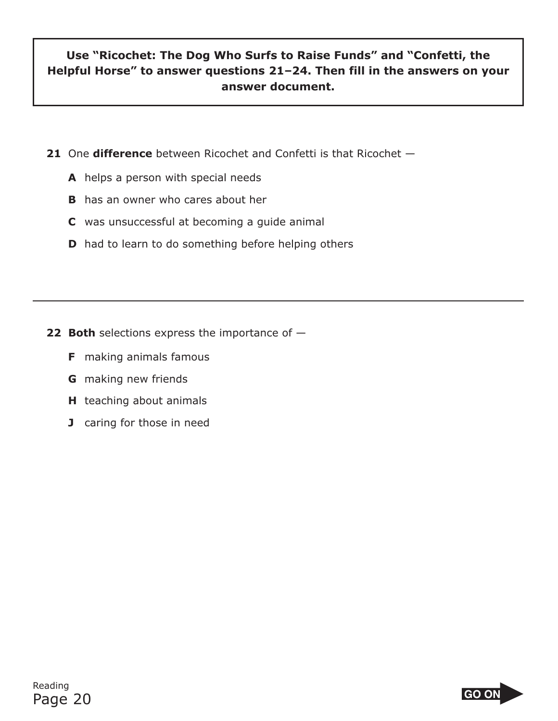### **Use "Ricochet: The Dog Who Surfs to Raise Funds" and "Confetti, the Helpful Horse" to answer questions 21–24. Then fill in the answers on your answer document.**

- **21** One **difference** between Ricochet and Confetti is that Ricochet
	- **A** helps a person with special needs
	- **B** has an owner who cares about her
	- **C** was unsuccessful at becoming a guide animal
	- **D** had to learn to do something before helping others

- **22 Both** selections express the importance of -
	- **F** making animals famous
	- **G** making new friends
	- **H** teaching about animals
	- **J** caring for those in need